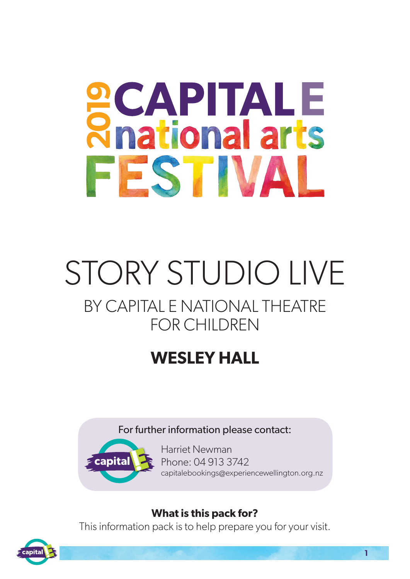# **SCAPITALE**<br> **Readional arts** FESTIVAL

## STORY STUDIO LIVE BY CAPITAL E NATIONAL THEATRE FOR CHILDREN

### **WESLEY HALL**

#### For further information please contact:



Harriet Newman Phone: 04 913 3742 capitalebookings@experiencewellington.org.nz

#### **What is this pack for?**

This information pack is to help prepare you for your visit.

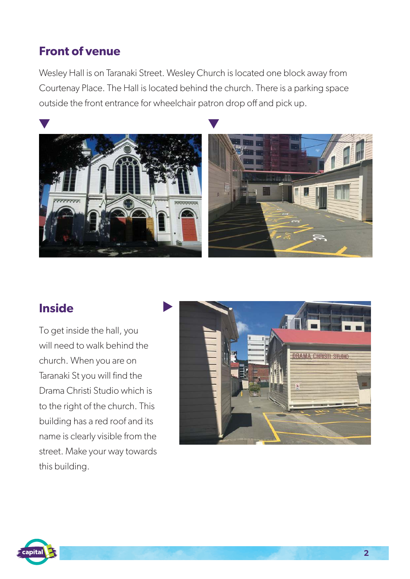#### **Front of venue**

Wesley Hall is on Taranaki Street. Wesley Church is located one block away from Courtenay Place. The Hall is located behind the church. There is a parking space outside the front entrance for wheelchair patron drop off and pick up.



#### **Inside**

To get inside the hall, you will need to walk behind the church. When you are on Taranaki St you will find the Drama Christi Studio which is to the right of the church. This building has a red roof and its name is clearly visible from the street. Make your way towards this building.



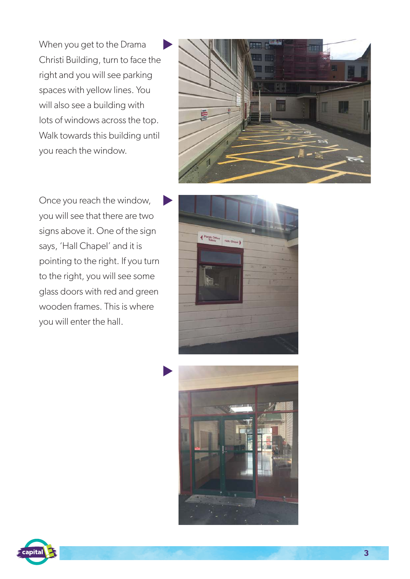When you get to the Drama Christi Building, turn to face the right and you will see parking spaces with yellow lines. You will also see a building with lots of windows across the top. Walk towards this building until you reach the window.



Once you reach the window, you will see that there are two signs above it. One of the sign says, 'Hall Chapel' and it is pointing to the right. If you turn to the right, you will see some glass doors with red and green wooden frames. This is where you will enter the hall.





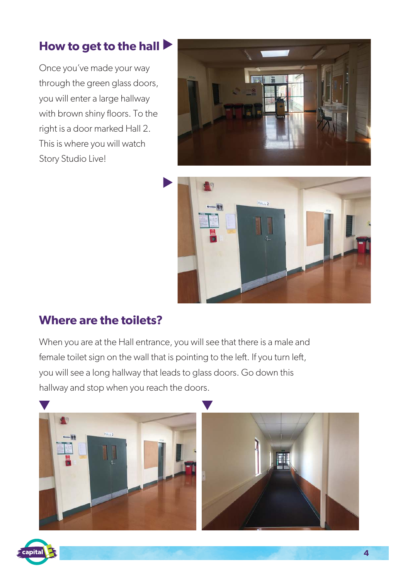#### **How to get to the hall**

Once you've made your way through the green glass doors, you will enter a large hallway with brown shiny floors. To the right is a door marked Hall 2. This is where you will watch Story Studio Live!





#### **Where are the toilets?**

When you are at the Hall entrance, you will see that there is a male and female toilet sign on the wall that is pointing to the left. If you turn left, you will see a long hallway that leads to glass doors. Go down this hallway and stop when you reach the doors.



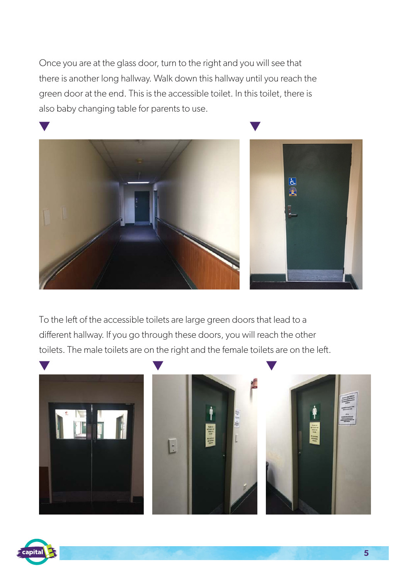Once you are at the glass door, turn to the right and you will see that there is another long hallway. Walk down this hallway until you reach the green door at the end. This is the accessible toilet. In this toilet, there is also baby changing table for parents to use.



To the left of the accessible toilets are large green doors that lead to a different hallway. If you go through these doors, you will reach the other toilets. The male toilets are on the right and the female toilets are on the left.



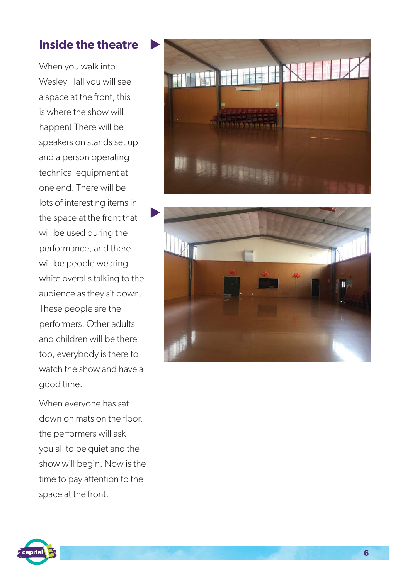#### **Inside the theatre**

When you walk into Wesley Hall you will see a space at the front, this is where the show will happen! There will be speakers on stands set up and a person operating technical equipment at one end. There will be lots of interesting items in the space at the front that will be used during the performance, and there will be people wearing white overalls talking to the audience as they sit down. These people are the performers. Other adults and children will be there too, everybody is there to watch the show and have a good time.

When everyone has sat down on mats on the floor, the performers will ask you all to be quiet and the show will begin. Now is the time to pay attention to the space at the front.





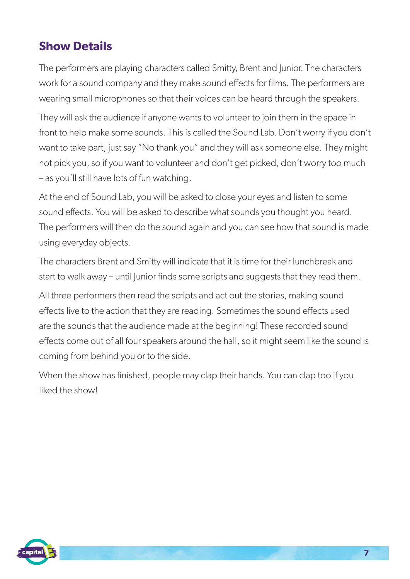#### **Show Details**

The performers are playing characters called Smitty, Brent and Junior. The characters work for a sound company and they make sound effects for films. The performers are wearing small microphones so that their voices can be heard through the speakers.

They will ask the audience if anyone wants to volunteer to join them in the space in front to help make some sounds. This is called the Sound Lab. Don't worry if you don't want to take part, just say "No thank you" and they will ask someone else. They might not pick you, so if you want to volunteer and don't get picked, don't worry too much – as you'll still have lots of fun watching.

At the end of Sound Lab, you will be asked to close your eyes and listen to some sound effects. You will be asked to describe what sounds you thought you heard. The performers will then do the sound again and you can see how that sound is made using everyday objects.

The characters Brent and Smitty will indicate that it is time for their lunchbreak and start to walk away – until Junior finds some scripts and suggests that they read them.

All three performers then read the scripts and act out the stories, making sound effects live to the action that they are reading. Sometimes the sound effects used are the sounds that the audience made at the beginning! These recorded sound effects come out of all four speakers around the hall, so it might seem like the sound is coming from behind you or to the side.

When the show has finished, people may clap their hands. You can clap too if you liked the show!